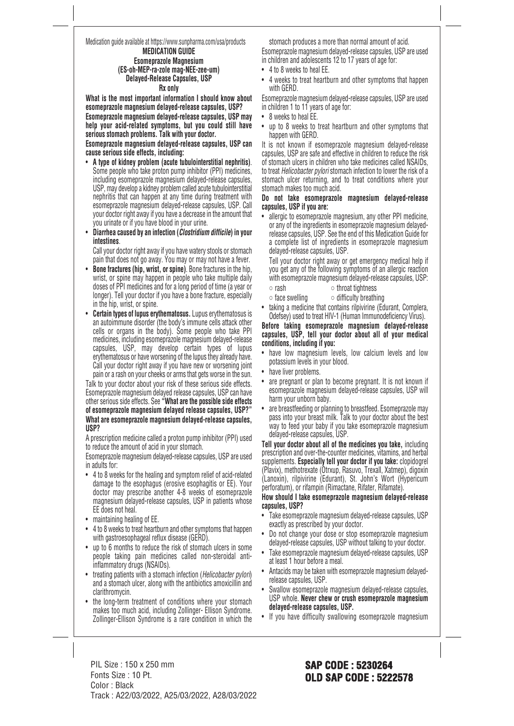## Medication guide available at https://www.sunpharma.com/usa/products

#### **MEDICATION GUIDE Esomeprazole Magnesium (ES-oh-MEP-ra-zole mag-NEE-zee-um) Delayed-Release Capsules, USP Rx only**

**What is the most important information I should know about esomeprazole magnesium delayed-release capsules, USP?**

**Esomeprazole magnesium delayed-release capsules, USP may help your acid-related symptoms, but you could still have serious stomach problems. Talk with your doctor.**

**Esomeprazole magnesium delayed-release capsules, USP can cause serious side effects, including:**

- **A type of kidney problem (acute tubulointerstitial nephritis)**. Some people who take proton pump inhibitor (PPI) medicines, including esomeprazole magnesium delayed-release capsules, USP, may develop a kidney problem called acute tubulointerstitial nephritis that can happen at any time during treatment with esomeprazole magnesium delayed-release capsules, USP. Call your doctor right away if you have a decrease in the amount that you urinate or if you have blood in your urine.
- **Diarrhea caused by an infection (***Clostridium difficile***) in your intestines**.

 Call your doctor right away if you have watery stools or stomach pain that does not go away. You may or may not have a fever.

- **Bone fractures (hip, wrist, or spine)**. Bone fractures in the hip, wrist, or spine may happen in people who take multiple daily doses of PPI medicines and for a long period of time (a year or longer). Tell your doctor if you have a bone fracture, especially in the hip, wrist, or spine.
- **Certain types of lupus erythematosus.** Lupus erythematosus is an autoimmune disorder (the body's immune cells attack other cells or organs in the body). Some people who take PPI medicines, including esomeprazole magnesium delayed-release capsules, USP, may develop certain types of lupus erythematosus or have worsening of the lupus they already have. Call your doctor right away if you have new or worsening joint pain or a rash on your cheeks or arms that gets worse in the sun.

Talk to your doctor about your risk of these serious side effects. Esomeprazole magnesium delayed release capsules, USP can have other serious side effects. See **"What are the possible side effects of esomeprazole magnesium delayed release capsules, USP?" What are esomeprazole magnesium delayed-release capsules, USP?**

A prescription medicine called a proton pump inhibitor (PPI) used to reduce the amount of acid in your stomach.

Esomeprazole magnesium delayed-release capsules, USP are used in adults for:

- 4 to 8 weeks for the healing and symptom relief of acid-related damage to the esophagus (erosive esophagitis or EE). Your doctor may prescribe another 4-8 weeks of esomeprazole magnesium delayed-release capsules, USP in patients whose EE does not heal.
- maintaining healing of EE.
- 4 to 8 weeks to treat heartburn and other symptoms that happen with gastroesophageal reflux disease (GERD).
- up to 6 months to reduce the risk of stomach ulcers in some people taking pain medicines called non-steroidal antiinflammatory drugs (NSAIDs).
- treating patients with a stomach infection (*Helicobacter pylori*) and a stomach ulcer, along with the antibiotics amoxicillin and clarithromycin.
- the long-term treatment of conditions where your stomach makes too much acid, including Zollinger- Ellison Syndrome. Zollinger-Ellison Syndrome is a rare condition in which the

stomach produces a more than normal amount of acid. Esomeprazole magnesium delayed-release capsules, USP are used in children and adolescents 12 to 17 years of age for:

- 4 to 8 weeks to heal EE.
- 4 weeks to treat heartburn and other symptoms that happen with GERD.

Esomeprazole magnesium delayed-release capsules, USP are used in children 1 to 11 years of age for:

- 8 weeks to heal EE.
- up to 8 weeks to treat heartburn and other symptoms that happen with GERD.

It is not known if esomeprazole magnesium delayed-release capsules, USP are safe and effective in children to reduce the risk of stomach ulcers in children who take medicines called NSAIDs, to treat *Helicobacter pylori* stomach infection to lower the risk of a stomach ulcer returning, and to treat conditions where your stomach makes too much acid.

#### **Do not take esomeprazole magnesium delayed-release capsules, USP if you are:**

• allergic to esomeprazole magnesium, any other PPI medicine, or any of the ingredients in esomeprazole magnesium delayedrelease capsules, USP. See the end of this Medication Guide for a complete list of ingredients in esomeprazole magnesium delayed-release capsules, USP.

 Tell your doctor right away or get emergency medical help if you get any of the following symptoms of an allergic reaction with esomeprazole magnesium delayed-release capsules, USP: ◦ rash ◦ throat tightness

- face swelling difficulty breathing
- taking a medicine that contains rilpivirine (Edurant, Complera, Odefsey) used to treat HIV-1 (Human Immunodeficiency Virus).

## **Before taking esomeprazole magnesium delayed-release capsules, USP, tell your doctor about all of your medical conditions, including if you:**

- have low magnesium levels, low calcium levels and low potassium levels in your blood.
- have liver problems.
- are pregnant or plan to become pregnant. It is not known if esomeprazole magnesium delayed-release capsules, USP will harm your unborn baby.
- are breastfeeding or planning to breastfeed. Esomeprazole may pass into your breast milk. Talk to your doctor about the best way to feed your baby if you take esomeprazole magnesium delayed-release capsules, USP.

**Tell your doctor about all of the medicines you take,** including prescription and over-the-counter medicines, vitamins, and herbal supplements. **Especially tell your doctor if you take:** clopidogrel (Plavix), methotrexate (Otrxup, Rasuvo, Trexall, Xatmep), digoxin (Lanoxin), rilpivirine (Edurant), St. John's Wort (Hypericum perforatum), or rifampin (Rimactane, Rifater, Rifamate).

## **How should I take esomeprazole magnesium delayed-release capsules, USP?**

- Take esomeprazole magnesium delayed-release capsules, USP exactly as prescribed by your doctor.
- Do not change your dose or stop esomeprazole magnesium delayed-release capsules, USP without talking to your doctor.
- Take esomeprazole magnesium delayed-release capsules, USP at least 1 hour before a meal.
- Antacids may be taken with esomeprazole magnesium delayedrelease capsules, USP.
- Swallow esomeprazole magnesium delayed-release capsules, USP whole. **Never chew or crush esomeprazole magnesium delayed-release capsules, USP.**
- If you have difficulty swallowing esomeprazole magnesium

PIL Size : 150 x 250 mm Fonts Size : 10 Pt. Color : Black Track : A22/03/2022, A25/03/2022, A28/03/2022

# **SAP CODE : 5230264 OLD SAP CODE : 5222578**